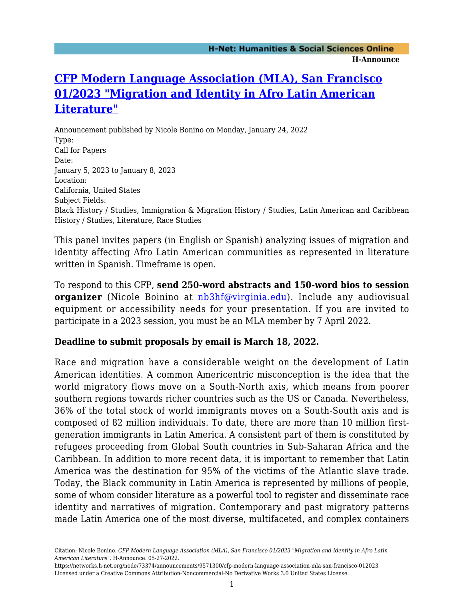## **[CFP Modern Language Association \(MLA\), San Francisco](https://networks.h-net.org/node/73374/announcements/9571300/cfp-modern-language-association-mla-san-francisco-012023) [01/2023 "Migration and Identity in Afro Latin American](https://networks.h-net.org/node/73374/announcements/9571300/cfp-modern-language-association-mla-san-francisco-012023) [Literature"](https://networks.h-net.org/node/73374/announcements/9571300/cfp-modern-language-association-mla-san-francisco-012023)**

Announcement published by Nicole Bonino on Monday, January 24, 2022 Type: Call for Papers Date: January 5, 2023 to January 8, 2023 Location: California, United States Subject Fields: Black History / Studies, Immigration & Migration History / Studies, Latin American and Caribbean History / Studies, Literature, Race Studies

This panel invites papers (in English or Spanish) analyzing issues of migration and identity affecting Afro Latin American communities as represented in literature written in Spanish. Timeframe is open.

To respond to this CFP, **send 250-word abstracts and 150-word bios to session organizer** (Nicole Boinino at [nb3hf@virginia.edu\)](mailto:nb3hf@virginia.edu). Include any audiovisual equipment or accessibility needs for your presentation. If you are invited to participate in a 2023 session, you must be an MLA member by 7 April 2022.

## **Deadline to submit proposals by email is March 18, 2022.**

Race and migration have a considerable weight on the development of Latin American identities. A common Americentric misconception is the idea that the world migratory flows move on a South-North axis, which means from poorer southern regions towards richer countries such as the US or Canada. Nevertheless, 36% of the total stock of world immigrants moves on a South-South axis and is composed of 82 million individuals. To date, there are more than 10 million firstgeneration immigrants in Latin America. A consistent part of them is constituted by refugees proceeding from Global South countries in Sub-Saharan Africa and the Caribbean. In addition to more recent data, it is important to remember that Latin America was the destination for 95% of the victims of the Atlantic slave trade. Today, the Black community in Latin America is represented by millions of people, some of whom consider literature as a powerful tool to register and disseminate race identity and narratives of migration. Contemporary and past migratory patterns made Latin America one of the most diverse, multifaceted, and complex containers

Citation: Nicole Bonino. *CFP Modern Language Association (MLA), San Francisco 01/2023 "Migration and Identity in Afro Latin American Literature"*. H-Announce. 05-27-2022.

https://networks.h-net.org/node/73374/announcements/9571300/cfp-modern-language-association-mla-san-francisco-012023 Licensed under a Creative Commons Attribution-Noncommercial-No Derivative Works 3.0 United States License.